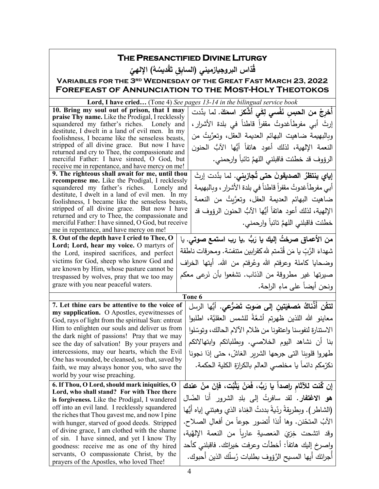| THE PRESANCTIFIED DIVINE LITURGY                                                                    |  |                                                                           |  |  |  |  |
|-----------------------------------------------------------------------------------------------------|--|---------------------------------------------------------------------------|--|--|--|--|
| قَدّاس البروجيازميني (السابق تَقْديسُهُ) الإلهيّ                                                    |  |                                                                           |  |  |  |  |
| <b>VARIABLES FOR THE 3RD WEDNESDAY OF THE GREAT FAST MARCH 23, 2022</b>                             |  |                                                                           |  |  |  |  |
|                                                                                                     |  | <b>FOREFEAST OF ANNUNCIATION TO THE MOST-HOLY THEOTOKOS</b>               |  |  |  |  |
|                                                                                                     |  | Lord, I have cried (Tone 4) See pages 13-14 in the bilingual service book |  |  |  |  |
| 10. Bring my soul out of prison, that I may                                                         |  | أخرِجْ من الحبسِ نَفْسي لِكَي أشْكَرَ اسمَكَ. لما بدَّدت                  |  |  |  |  |
| praise Thy name. Like the Prodigal, I recklessly                                                    |  |                                                                           |  |  |  |  |
| squandered my father's riches. Lonely and                                                           |  | إرتَ أبي مفرطاًغدوتُ مقفراً قاطناً في بلدة الأشرارِ ،                     |  |  |  |  |
| destitute, I dwelt in a land of evil men. In my<br>foolishness, I became like the senseless beasts, |  | وبالبهيمة ضاهيت البهائم العديمة العقل، وتعرَّيتُ من                       |  |  |  |  |
| stripped of all divine grace. But now I have                                                        |  | النعمة الإلهية، لذلك أعود هاتفاً أيُّها الآبٌ الحنون                      |  |  |  |  |
| returned and cry to Thee, the compassionate and                                                     |  |                                                                           |  |  |  |  |
| merciful Father: I have sinned, O God, but                                                          |  | الرؤوف قد خطئت فاقبلني اللهمَّ تائباً وارحمني.                            |  |  |  |  |
| receive me in repentance, and have mercy on me!                                                     |  |                                                                           |  |  |  |  |
| 9. The righteous shall await for me, until thou<br>recompense me. Like the Prodigal, I recklessly   |  | إ <b>ياي ينتظرُ الصديقونَ حتى تُجازيني.</b> لما بدَّدت إرثَ               |  |  |  |  |
| squandered my father's riches. Lonely and                                                           |  | أبي مفرطاًغدوتُ مقفراً قاطناً في بلدة الأشرار ، وبالبهيمة                 |  |  |  |  |
| destitute, I dwelt in a land of evil men. In my                                                     |  | ضاهيت البهائم العديمة العقل، وتعرَّيتُ من النعمة                          |  |  |  |  |
| foolishness, I became like the senseless beasts,                                                    |  |                                                                           |  |  |  |  |
| stripped of all divine grace. But now I have<br>returned and cry to Thee, the compassionate and     |  | الإلهية، لذلك أعود هاتفاً أيُّها الآبٌ الحنون الرؤوف قد                   |  |  |  |  |
| merciful Father: I have sinned, O God, but receive                                                  |  | خطئت فاقبلني اللهمَّ تائباً وارحمني.                                      |  |  |  |  |
| me in repentance, and have mercy on me!                                                             |  |                                                                           |  |  |  |  |
| 8. Out of the depth have I cried to Thee, O                                                         |  | من الأعماق صرختُ إليك يا رَبُّ ,يا رب استمع صوتي. يا                      |  |  |  |  |
| Lord; Lord, hear my voice. O martyrs of                                                             |  | شهداءَ الرَّبّ يا مَن قُدّمتم لله كقرابين متنفسّة. ومحرقات ناطقة          |  |  |  |  |
| the Lord, inspired sacrifices, and perfect<br>victims for God, sheep who know God and               |  |                                                                           |  |  |  |  |
| are known by Him, whose pasture cannot be                                                           |  | وضحايا كاملة وعرفتم الله وعُرفتم من الله. أيتها الخراف                    |  |  |  |  |
| trespassed by wolves, pray that we too may                                                          |  | صيرتها غير مطروقة من الذئاب. تشفعوا بأن نَرعى معكم                        |  |  |  |  |
| graze with you near peaceful waters.                                                                |  | ونحن أيضاً على ماءِ الراحة.                                               |  |  |  |  |
|                                                                                                     |  | Tone 6                                                                    |  |  |  |  |
| 7. Let thine ears be attentive to the voice of                                                      |  | لتكُن أَذْناكُ مُصغِيَتين إِلى صَوتِ تَصْرُّعِي. أَيُّها الرسل            |  |  |  |  |
| my supplication. O Apostles, eyewitnesses of                                                        |  | معاينو الله اللذين ظهرتم أشعَّةً للشمس العقليَّة، اطلبوا                  |  |  |  |  |
| God, rays of light from the spiritual Sun: entreat                                                  |  |                                                                           |  |  |  |  |
| Him to enlighten our souls and deliver us from<br>the dark night of passions! Pray that we may      |  | الاستنارة لنفوسنا واعتقونا من ظلام الآلام الحالك، وتوسّلوا                |  |  |  |  |
| see the day of salvation! By your prayers and                                                       |  | بنا أن نشاهد اليوم الخلاصي. وبطلباتكم وابتهالاتكم                         |  |  |  |  |
| intercessions, may our hearts, which the Evil                                                       |  | طهروا قلوينا التي جرحها الشرير الغاشّ، حتى إذا نجونا                      |  |  |  |  |
| One has wounded, be cleansed, so that, saved by                                                     |  |                                                                           |  |  |  |  |
| faith, we may always honor you, who save the                                                        |  | نكرّمكم دائماً يا مخلصى العالم بالكرازة الكلية الحكمة.                    |  |  |  |  |
| world by your wise preaching.                                                                       |  |                                                                           |  |  |  |  |
| 6. If Thou, O Lord, should mark iniquities, O                                                       |  | إن كُنت للآثام راصداً يا رَبٌّ، فَمَنْ يَثْبُت، فإنَ منْ عندك             |  |  |  |  |
| Lord, who shall stand? For with Thee there                                                          |  | هو الاغتفار. لقد سافرتُ إلى بلدِ الشرور أنا الضّال                        |  |  |  |  |
| is forgiveness. Like the Prodigal, I wandered<br>off into an evil land. I recklessly squandered     |  |                                                                           |  |  |  |  |
| the riches that Thou gavest me, and now I pine                                                      |  | (الشاطر ). وبطريقةً ردّيةً بددتُ الغِناءَ الذي وهبتني إياه أيُّها         |  |  |  |  |
| with hunger, starved of good deeds. Stripped                                                        |  | الآبُ المتحّنن. وها أنذا أتضورٍ جوعاً من أفعالِ الصلاح.                   |  |  |  |  |
| of divine grace, I am clothed with the shame                                                        |  | وقد انشحت خِزِيَ المَعصيةِ عارباً من النعمة الإلهَّية،                    |  |  |  |  |
| of sin. I have sinned, and yet I know Thy                                                           |  |                                                                           |  |  |  |  |
| goodness: receive me as one of thy hired                                                            |  | واصرخ إليك هاتفاً: أخطأت وعرفت خيرانك. فاقبلنى كأحد                       |  |  |  |  |
| servants, O compassionate Christ, by the                                                            |  | أجرائك أيها المسيح الرَّؤوف بطلبات رُسلَك الذين أحبوك.                    |  |  |  |  |
| prayers of the Apostles, who loved Thee!                                                            |  |                                                                           |  |  |  |  |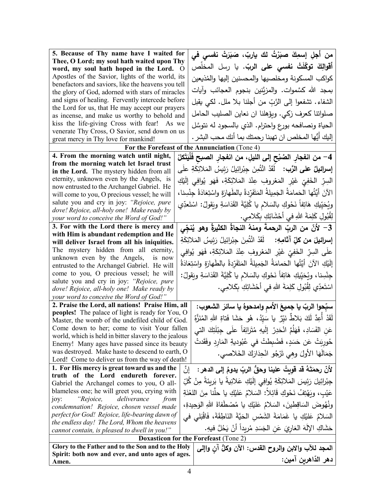| 5. Because of Thy name have I waited for                                                                   |     | من أجل إسمِكَ صبَرْتُ لك ياربّ، صَبَرَتْ نفسى في                                         |  |  |  |  |  |
|------------------------------------------------------------------------------------------------------------|-----|------------------------------------------------------------------------------------------|--|--|--|--|--|
| Thee, O Lord; my soul hath waited upon Thy                                                                 |     |                                                                                          |  |  |  |  |  |
| word, my soul hath hoped in the Lord. O                                                                    |     | أ <b>قوالِكَ توكّلَتْ نف<i>سي</i> عل<i>ى</i> الربّ.</b> يا رسل المخلّص                   |  |  |  |  |  |
| Apostles of the Savior, lights of the world, its                                                           |     | كواكب المسكونة ومخلصيها والمحسنين إليها والمذيعين                                        |  |  |  |  |  |
| benefactors and saviors, like the heavens you tell                                                         |     | بمجد الله كسَّموات. والمزيَّنين بنجوم العجائب وآيات                                      |  |  |  |  |  |
| the glory of God, adorned with stars of miracles                                                           |     |                                                                                          |  |  |  |  |  |
| and signs of healing. Fervently intercede before                                                           |     | الشفاء. تشفعوا إلى الرَّبِّ من أجلنا بـلا ملل. لكي يقبل                                  |  |  |  |  |  |
| the Lord for us, that He may accept our prayers                                                            |     | صلواتنا كعرف زكي. ويؤهلنا ان نعاين الصليب الحامل                                         |  |  |  |  |  |
| as incense, and make us worthy to behold and<br>kiss the life-giving Cross with fear! As we                |     |                                                                                          |  |  |  |  |  |
| venerate Thy Cross, O Savior, send down on us                                                              |     | الحياة ونصافحه بورع واحترام. الذي بالسجود له نتوسًل                                      |  |  |  |  |  |
| great mercy in Thy love for mankind!                                                                       |     | إليك أيُّها المخلص ان تهبنا رحمتك بما أنك محب البشر .                                    |  |  |  |  |  |
|                                                                                                            |     | For the Forefeast of the Annunciation (Tone 4)                                           |  |  |  |  |  |
| 4. From the morning watch until night,<br>4– من انفجار الصُبْح إلى الليلِ، من انفجار الصبح فَلْيَتَكلْ     |     |                                                                                          |  |  |  |  |  |
| from the morning watch let Israel trust                                                                    |     |                                                                                          |  |  |  |  |  |
| in the Lord. The mystery hidden from all                                                                   |     | إ <b>سرائيلُ على الرَّب:</b> لَقَدْ ائْتُمِنَ جِبْرائِيلُ رَئِيسُ المَلائِكَةِ علَى      |  |  |  |  |  |
| eternity, unknown even by the Angels, is                                                                   |     | السِرِّ  الخَفِيِّ  غَيْرِ   المَعْروفِ  عِنْدَ  المَلائِكَةِ،  فَهَو  يُوافِي  إلَيْكِ  |  |  |  |  |  |
| now entrusted to the Archangel Gabriel. He                                                                 |     |                                                                                          |  |  |  |  |  |
| will come to you, O precious vessel; he will                                                               |     | الآنَ أَيَّتُها الحَمامَةُ الجَمِيلةُ المَتَفَرِّدةُ بالطَهارَةِ واسْتِعَادَةُ جِنْسِنا، |  |  |  |  |  |
| salute you and cry in joy: "Rejoice, pure                                                                  |     | ويُحَيِّيكِ هَاتِفاً نَحْوكِ بالسَلامِ يا كُلِيَّةَ القَدَاسَةِ ويَقولُ: اسْتَعدِّي      |  |  |  |  |  |
| dove! Rejoice, all-holy one! Make ready by                                                                 |     | لِقُبُولِ كَلِمَةَ اللهِ في أَحْشَائِكِ بِكَلامِي.                                       |  |  |  |  |  |
| your word to conceive the Word of God!"                                                                    |     |                                                                                          |  |  |  |  |  |
| 3. For with the Lord there is mercy and                                                                    |     | 3– لأنّ من الربِّ الرحمةَ ومنهُ النجاةُ الكثيرةُ وهو يُنجِّي                             |  |  |  |  |  |
| with Him is abundant redemption and He<br>will deliver Israel from all his iniquities.                     |     | إ <b>سرائيلَ من كلِّ آثامِهِ:</b> لَقَدْ ائْتُمِنَ جِبْرائِيلُ رَئِيسُ المَلائِكَةِ      |  |  |  |  |  |
| The mystery hidden from all eternity,                                                                      |     |                                                                                          |  |  |  |  |  |
| unknown even by the Angels, is now                                                                         |     | علَى السِرِّ الخَفِيِّ غَيْرِ المَعْروفِ عِنْدَ المَلائِكَةِ، فَهَو يُوافِي              |  |  |  |  |  |
| entrusted to the Archangel Gabriel. He will                                                                |     | إِلَيْكِ الآنَ أَيَّتُها الحَمامَةُ الجَمِيلةُ المَتَفَرِّدةُ بالطَهارَةِ واسْتِعَادَةُ  |  |  |  |  |  |
| come to you, O precious vessel; he will                                                                    |     | جِنْسِنا، ويُحَيِّيكِ هَاتِفاً نَحْوكِ بالسَلام يا كُلِيَّةَ القَدَاسَةِ ويَقولُ:        |  |  |  |  |  |
| salute you and cry in joy: "Rejoice, pure                                                                  |     |                                                                                          |  |  |  |  |  |
| dove! Rejoice, all-holy one! Make ready by                                                                 |     | اسْتَعدِّي لِقُبُولِ كَلِمَةَ اللهِ في أَحْشَائِكِ بِكَلامِي.                            |  |  |  |  |  |
| your word to conceive the Word of God!"                                                                    |     |                                                                                          |  |  |  |  |  |
| 2. Praise the Lord, all nations! Praise Him, all<br>سبِّحوا الربّ يا جميعَ الأمم وامدحوهُ يا سائرَ الشعوب: |     |                                                                                          |  |  |  |  |  |
| peoples! The palace of light is ready for You, O                                                           |     | لَقَدْ أَعِدَّ لَكَ بَلاطٌ نَيِّرٌ ۚ يا سَيِّدُ، هُو حَشَا فَتاةِ اللهِ المُنَزَّهُ      |  |  |  |  |  |
| Master, the womb of the undefiled child of God.                                                            |     |                                                                                          |  |  |  |  |  |
| Come down to her; come to visit Your fallen                                                                |     | عَنِ الْفَسَادِ، فَهَلَمَّ انْحَدِرْ إِلَيهِ مُتَرائِفاً علَى جِبْلَتِكَ التي            |  |  |  |  |  |
| world, which is held in bitter slavery to the jealous                                                      |     | حُورِيَتْ عَن حَسَدٍ، فَضُبِطْتْ في عُبُوديةِ المَارِدِ وفَقَدتْ                         |  |  |  |  |  |
| Enemy! Many ages have passed since its beauty<br>was destroyed. Make haste to descend to earth, O          |     |                                                                                          |  |  |  |  |  |
| Lord! Come to deliver us from the way of death!                                                            |     | جَمَالُهَا الأُولَ وهِي تَرْجُو انْحِذَارَكَ الْخَلاصي.                                  |  |  |  |  |  |
| 1. For His mercy is great toward us and the                                                                | ٳڹٞ | لأنّ رحمَتَهُ قد قوبتُ علينا وحقُّ الربّ يدومُ إلى الدهر :                               |  |  |  |  |  |
| truth of the Lord endureth forever.                                                                        |     |                                                                                          |  |  |  |  |  |
| Gabriel the Archangel comes to you, O all-                                                                 |     | جِبْرائِيلَ رَئِيسَ المَلائِكَةِ يُوافِى إِلَيْكِ عَلانِيةَ يا بَرِيئَةَ مِنْ كَلِّ      |  |  |  |  |  |
| blameless one; he will greet you, crying with                                                              |     | عَيْبٍ، وبَهْتِفُ نَحْوِكِ قَائِلاً: السَلامُ عَلَيْكِ يا حلَّنا مِنَ اللغْنَةِ          |  |  |  |  |  |
| "Rejoice,<br>deliverance<br>joy:<br>from                                                                   |     |                                                                                          |  |  |  |  |  |
| condemnation! Rejoice, chosen vessel made                                                                  |     | ونُهُوضَ السَاقِطينَ، السَلامُ عَلَيْكِ يا مُصْطَفاةَ اللهِ الوَحِيدةِ،                  |  |  |  |  |  |
| perfect for God! Rejoice, life-bearing dawn of                                                             |     | السَلامُ عَلَيْكِ يا غَمَامَةَ الشَّمْسِ الْحَيَّةَ النَاطِقَةَ، فَاقْبَلَى في           |  |  |  |  |  |
| the endless day! The Lord, Whom the heavens                                                                |     | حَشَاكِ الإِلَهَ العَارِيَ عَنِ الْجَسَدِ مُرِيداً أَنْ يَحُلَّ فيهِ.                    |  |  |  |  |  |
| cannot contain, is pleased to dwell in you!"                                                               |     |                                                                                          |  |  |  |  |  |
| <b>Doxasticon for the Forefeast (Tone 2)</b>                                                               |     |                                                                                          |  |  |  |  |  |
| Glory to the Father and to the Son and to the Holy                                                         |     | المُجد للآب والابن والروح القدس: الآن وكلُّ أن واإلى                                     |  |  |  |  |  |
| Spirit: both now and ever, and unto ages of ages.<br>Amen.                                                 |     | دهر الذّاهرين آمين:                                                                      |  |  |  |  |  |
|                                                                                                            |     |                                                                                          |  |  |  |  |  |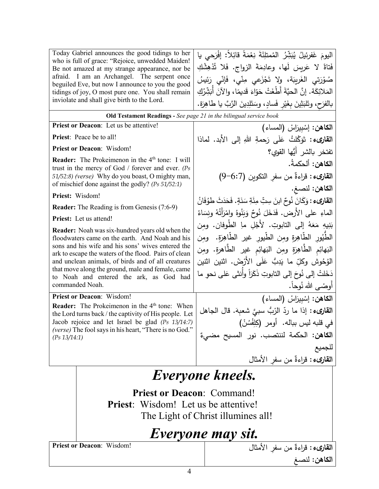|                                                                                                                                                                                                                     | Today Gabriel announces the good tidings to her                                                                  | اليومَ غَفرِئيلُ يُبَثِّرُ المُمتلِّئَةَ نِعْمَةً قائِلاً: إِفْرَحي يا       |  |  |  |
|---------------------------------------------------------------------------------------------------------------------------------------------------------------------------------------------------------------------|------------------------------------------------------------------------------------------------------------------|------------------------------------------------------------------------------|--|--|--|
|                                                                                                                                                                                                                     | who is full of grace: "Rejoice, unwedded Maiden!                                                                 | فَتاةً لا عَرِيسَ لَها، وعادِمَةَ الزواج. فَلا تُذْهِشْكِ                    |  |  |  |
|                                                                                                                                                                                                                     | Be not amazed at my strange appearance, nor be<br>afraid. I am an Archangel. The serpent once                    |                                                                              |  |  |  |
|                                                                                                                                                                                                                     | beguiled Eve, but now I announce to you the good                                                                 | صُوْرَتِي الغَرِيبَة، ولا تَجْزَعِي مِنِّي، فَإِنِّي رَئِيسُ                 |  |  |  |
|                                                                                                                                                                                                                     | tidings of joy, O most pure one. You shall remain                                                                | المَلائِكَة. إنَّ الحيَّةَ أَطْغَتْ حَوّاءَ قَديمًا، والآنَ أَبَثِّرُكِ      |  |  |  |
|                                                                                                                                                                                                                     | inviolate and shall give birth to the Lord.                                                                      | بالفرَح، وتَلبَثِينَ بغَيْرٍ فَسادٍ، وسَتَلِدِينَ الرَّبَّ يا طاهِرَة.       |  |  |  |
|                                                                                                                                                                                                                     | Old Testament Readings - See page 21 in the bilingual service book                                               |                                                                              |  |  |  |
|                                                                                                                                                                                                                     | Priest or Deacon: Let us be attentive!                                                                           | الكاهن: إسْبِيرَاسْ (المساء)                                                 |  |  |  |
|                                                                                                                                                                                                                     | <b>Priest:</b> Peace be to all!                                                                                  | ا <b>لقارىء :</b> تَوَكُّلتُ عَلَى رَحمةِ اللهِ إلى الأَبد. لماذا            |  |  |  |
|                                                                                                                                                                                                                     | <b>Priest or Deacon: Wisdom!</b>                                                                                 | تفتخر بالشر أيُها القوي؟                                                     |  |  |  |
|                                                                                                                                                                                                                     | <b>Reader:</b> The Prokeimenon in the 4 <sup>th</sup> tone: I will                                               | ا <b>لكاهن:</b> ألحكمةُ.                                                     |  |  |  |
|                                                                                                                                                                                                                     | trust in the mercy of God / forever and ever. ( $Ps$<br>51/52:8) (verse) Why do you boast, O mighty man,         | القارىء: قراءةٌ من سفر النكوين (6:7-9)                                       |  |  |  |
|                                                                                                                                                                                                                     | of mischief done against the godly? (Ps 51/52:1)                                                                 | الكاهن: لنصغ.                                                                |  |  |  |
| Priest: Wisdom!                                                                                                                                                                                                     |                                                                                                                  |                                                                              |  |  |  |
|                                                                                                                                                                                                                     | <b>Reader:</b> The Reading is from Genesis (7:6-9)                                                               | ا <b>لقارىء :</b> وَكَانَ نُوحٌ ابنَ سِتِّ مِئَةِ سَنَةٍ. فَحَدَثَ طَوُفَانُ |  |  |  |
| Priest: Let us attend!                                                                                                                                                                                              | الماءِ على الأَرضِ. فَدَخَلَ نُوحٌ وَيَنُوهُ وامْرَأَتُهُ ونِسَاءُ                                               |                                                                              |  |  |  |
|                                                                                                                                                                                                                     | Reader: Noah was six-hundred years old when the                                                                  | بَنِيهِ مَعَهُ إلى التابوتِ. لأَجْلِ ما الطُوفان. ومِن                       |  |  |  |
| floodwaters came on the earth. And Noah and his<br>sons and his wife and his sons' wives entered the<br>ark to escape the waters of the flood. Pairs of clean<br>and unclean animals, of birds and of all creatures |                                                                                                                  | الطَّيُورِ الطَّاهِرةِ ومِن الطَّيورِ غير الطَّاهِرَةِ. ومِن                 |  |  |  |
|                                                                                                                                                                                                                     |                                                                                                                  | الْبَهائِمِ الطَّاهِرَةِ ومِن الْبَهائِمِ غيرِ الطَّاهِرَةِ. ومِن            |  |  |  |
|                                                                                                                                                                                                                     |                                                                                                                  | الوُحُوش وكلِّ ما يَدِبُّ عَلَى الأَرْضْ. اثنين اثنين                        |  |  |  |
|                                                                                                                                                                                                                     | that move along the ground, male and female, came<br>to Noah and entered the ark, as God had                     | دَخَلتْ إلى نُوحَ إلى التابوتِ ذَكَرَاً وأنثى عَلى نحو ما                    |  |  |  |
|                                                                                                                                                                                                                     | commanded Noah.                                                                                                  | أوضىي الله نُوحاً.                                                           |  |  |  |
|                                                                                                                                                                                                                     | <b>Priest or Deacon: Wisdom!</b>                                                                                 | الكاهن: إسْبيرَاسْ (المساء)                                                  |  |  |  |
|                                                                                                                                                                                                                     | <b>Reader:</b> The Prokeimenon in the $4th$ tone: When<br>the Lord turns back / the captivity of His people. Let | القارىء : إذا ما ردِّ الرْبُ سبيَّ شعبِهَ. قال الجاهل                        |  |  |  |
| Jacob rejoice and let Israel be glad $(Ps 13/14:7)$                                                                                                                                                                 |                                                                                                                  | في قلبه ليس بباله.  أومر  (كِلِفْسُنْ)                                       |  |  |  |
| (Ps 13/14:1)                                                                                                                                                                                                        | (verse) The fool says in his heart, "There is no God."                                                           | ا <b>لكاهن:</b> الحكمة لننتصب. نور المسيح مضيءٌ<br>                          |  |  |  |
|                                                                                                                                                                                                                     |                                                                                                                  |                                                                              |  |  |  |
|                                                                                                                                                                                                                     |                                                                                                                  | ا <b>لقارىء</b> : قراءةٌ من سفرِ الأمثال                                     |  |  |  |
|                                                                                                                                                                                                                     |                                                                                                                  | Everyone kneels.                                                             |  |  |  |
|                                                                                                                                                                                                                     |                                                                                                                  |                                                                              |  |  |  |
|                                                                                                                                                                                                                     | <b>Priest or Deacon: Command!</b>                                                                                |                                                                              |  |  |  |
|                                                                                                                                                                                                                     | <b>Priest:</b> Wisdom! Let us be attentive!                                                                      |                                                                              |  |  |  |
|                                                                                                                                                                                                                     |                                                                                                                  | The Light of Christ illumines all!                                           |  |  |  |
|                                                                                                                                                                                                                     |                                                                                                                  |                                                                              |  |  |  |

## *Everyone may sit.*

**Priest or Deacon**: Wisdom!

**القارىء :** قراءةٌ من سفرِ الأمثال **الكاهن:** ِ لنصغ